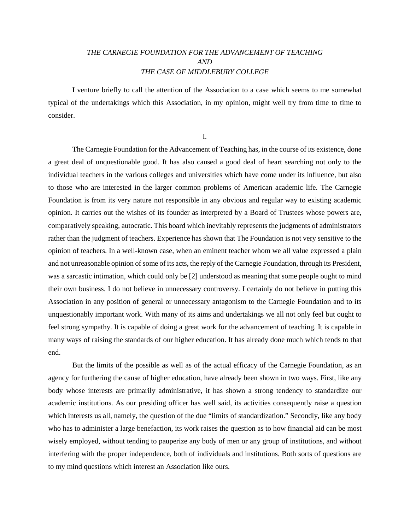## *THE CARNEGIE FOUNDATION FOR THE ADVANCEMENT OF TEACHING AND THE CASE OF MIDDLEBURY COLLEGE*

I venture briefly to call the attention of the Association to a case which seems to me somewhat typical of the undertakings which this Association, in my opinion, might well try from time to time to consider.

I.

The Carnegie Foundation for the Advancement of Teaching has, in the course of its existence, done a great deal of unquestionable good. It has also caused a good deal of heart searching not only to the individual teachers in the various colleges and universities which have come under its influence, but also to those who are interested in the larger common problems of American academic life. The Carnegie Foundation is from its very nature not responsible in any obvious and regular way to existing academic opinion. It carries out the wishes of its founder as interpreted by a Board of Trustees whose powers are, comparatively speaking, autocratic. This board which inevitably represents the judgments of administrators rather than the judgment of teachers. Experience has shown that The Foundation is not very sensitive to the opinion of teachers. In a well-known case, when an eminent teacher whom we all value expressed a plain and not unreasonable opinion of some of its acts, the reply of the Carnegie Foundation, through its President, was a sarcastic intimation, which could only be [2] understood as meaning that some people ought to mind their own business. I do not believe in unnecessary controversy. I certainly do not believe in putting this Association in any position of general or unnecessary antagonism to the Carnegie Foundation and to its unquestionably important work. With many of its aims and undertakings we all not only feel but ought to feel strong sympathy. It is capable of doing a great work for the advancement of teaching. It is capable in many ways of raising the standards of our higher education. It has already done much which tends to that end.

But the limits of the possible as well as of the actual efficacy of the Carnegie Foundation, as an agency for furthering the cause of higher education, have already been shown in two ways. First, like any body whose interests are primarily administrative, it has shown a strong tendency to standardize our academic institutions. As our presiding officer has well said, its activities consequently raise a question which interests us all, namely, the question of the due "limits of standardization." Secondly, like any body who has to administer a large benefaction, its work raises the question as to how financial aid can be most wisely employed, without tending to pauperize any body of men or any group of institutions, and without interfering with the proper independence, both of individuals and institutions. Both sorts of questions are to my mind questions which interest an Association like ours.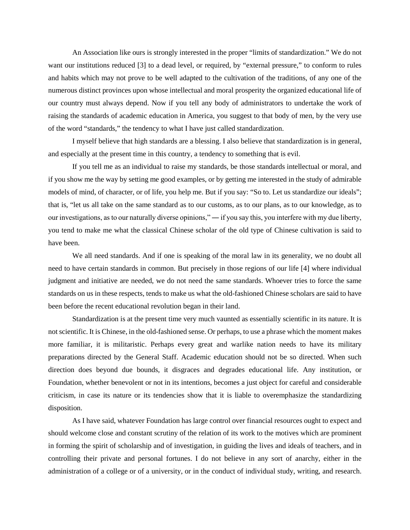An Association like ours is strongly interested in the proper "limits of standardization." We do not want our institutions reduced [3] to a dead level, or required, by "external pressure," to conform to rules and habits which may not prove to be well adapted to the cultivation of the traditions, of any one of the numerous distinct provinces upon whose intellectual and moral prosperity the organized educational life of our country must always depend. Now if you tell any body of administrators to undertake the work of raising the standards of academic education in America, you suggest to that body of men, by the very use of the word "standards," the tendency to what I have just called standardization.

I myself believe that high standards are a blessing. I also believe that standardization is in general, and especially at the present time in this country, a tendency to something that is evil.

If you tell me as an individual to raise my standards, be those standards intellectual or moral, and if you show me the way by setting me good examples, or by getting me interested in the study of admirable models of mind, of character, or of life, you help me. But if you say: "So to. Let us standardize our ideals"; that is, "let us all take on the same standard as to our customs, as to our plans, as to our knowledge, as to our investigations, as to our naturally diverse opinions," ― if you say this, you interfere with my due liberty, you tend to make me what the classical Chinese scholar of the old type of Chinese cultivation is said to have been.

We all need standards. And if one is speaking of the moral law in its generality, we no doubt all need to have certain standards in common. But precisely in those regions of our life [4] where individual judgment and initiative are needed, we do not need the same standards. Whoever tries to force the same standards on us in these respects, tends to make us what the old-fashioned Chinese scholars are said to have been before the recent educational revolution began in their land.

Standardization is at the present time very much vaunted as essentially scientific in its nature. It is not scientific. It is Chinese, in the old-fashioned sense. Or perhaps, to use a phrase which the moment makes more familiar, it is militaristic. Perhaps every great and warlike nation needs to have its military preparations directed by the General Staff. Academic education should not be so directed. When such direction does beyond due bounds, it disgraces and degrades educational life. Any institution, or Foundation, whether benevolent or not in its intentions, becomes a just object for careful and considerable criticism, in case its nature or its tendencies show that it is liable to overemphasize the standardizing disposition.

As I have said, whatever Foundation has large control over financial resources ought to expect and should welcome close and constant scrutiny of the relation of its work to the motives which are prominent in forming the spirit of scholarship and of investigation, in guiding the lives and ideals of teachers, and in controlling their private and personal fortunes. I do not believe in any sort of anarchy, either in the administration of a college or of a university, or in the conduct of individual study, writing, and research.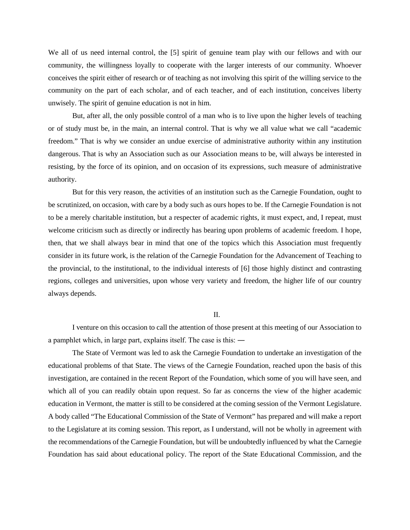We all of us need internal control, the [5] spirit of genuine team play with our fellows and with our community, the willingness loyally to cooperate with the larger interests of our community. Whoever conceives the spirit either of research or of teaching as not involving this spirit of the willing service to the community on the part of each scholar, and of each teacher, and of each institution, conceives liberty unwisely. The spirit of genuine education is not in him.

But, after all, the only possible control of a man who is to live upon the higher levels of teaching or of study must be, in the main, an internal control. That is why we all value what we call "academic freedom." That is why we consider an undue exercise of administrative authority within any institution dangerous. That is why an Association such as our Association means to be, will always be interested in resisting, by the force of its opinion, and on occasion of its expressions, such measure of administrative authority.

But for this very reason, the activities of an institution such as the Carnegie Foundation, ought to be scrutinized, on occasion, with care by a body such as ours hopes to be. If the Carnegie Foundation is not to be a merely charitable institution, but a respecter of academic rights, it must expect, and, I repeat, must welcome criticism such as directly or indirectly has bearing upon problems of academic freedom. I hope, then, that we shall always bear in mind that one of the topics which this Association must frequently consider in its future work, is the relation of the Carnegie Foundation for the Advancement of Teaching to the provincial, to the institutional, to the individual interests of [6] those highly distinct and contrasting regions, colleges and universities, upon whose very variety and freedom, the higher life of our country always depends.

## II.

I venture on this occasion to call the attention of those present at this meeting of our Association to a pamphlet which, in large part, explains itself. The case is this: ―

The State of Vermont was led to ask the Carnegie Foundation to undertake an investigation of the educational problems of that State. The views of the Carnegie Foundation, reached upon the basis of this investigation, are contained in the recent Report of the Foundation, which some of you will have seen, and which all of you can readily obtain upon request. So far as concerns the view of the higher academic education in Vermont, the matter is still to be considered at the coming session of the Vermont Legislature. A body called "The Educational Commission of the State of Vermont" has prepared and will make a report to the Legislature at its coming session. This report, as I understand, will not be wholly in agreement with the recommendations of the Carnegie Foundation, but will be undoubtedly influenced by what the Carnegie Foundation has said about educational policy. The report of the State Educational Commission, and the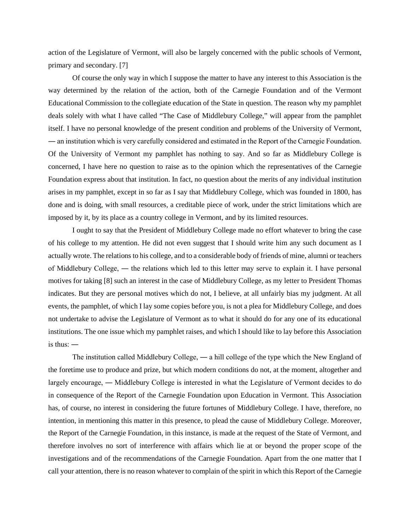action of the Legislature of Vermont, will also be largely concerned with the public schools of Vermont, primary and secondary. [7]

Of course the only way in which I suppose the matter to have any interest to this Association is the way determined by the relation of the action, both of the Carnegie Foundation and of the Vermont Educational Commission to the collegiate education of the State in question. The reason why my pamphlet deals solely with what I have called "The Case of Middlebury College," will appear from the pamphlet itself. I have no personal knowledge of the present condition and problems of the University of Vermont, ― an institution which is very carefully considered and estimated in the Report of the Carnegie Foundation. Of the University of Vermont my pamphlet has nothing to say. And so far as Middlebury College is concerned, I have here no question to raise as to the opinion which the representatives of the Carnegie Foundation express about that institution. In fact, no question about the merits of any individual institution arises in my pamphlet, except in so far as I say that Middlebury College, which was founded in 1800, has done and is doing, with small resources, a creditable piece of work, under the strict limitations which are imposed by it, by its place as a country college in Vermont, and by its limited resources.

I ought to say that the President of Middlebury College made no effort whatever to bring the case of his college to my attention. He did not even suggest that I should write him any such document as I actually wrote. The relations to his college, and to a considerable body of friends of mine, alumni or teachers of Middlebury College, ― the relations which led to this letter may serve to explain it. I have personal motives for taking [8] such an interest in the case of Middlebury College, as my letter to President Thomas indicates. But they are personal motives which do not, I believe, at all unfairly bias my judgment. At all events, the pamphlet, of which I lay some copies before you, is not a plea for Middlebury College, and does not undertake to advise the Legislature of Vermont as to what it should do for any one of its educational institutions. The one issue which my pamphlet raises, and which I should like to lay before this Association is thus: ―

The institution called Middlebury College, ― a hill college of the type which the New England of the foretime use to produce and prize, but which modern conditions do not, at the moment, altogether and largely encourage, ― Middlebury College is interested in what the Legislature of Vermont decides to do in consequence of the Report of the Carnegie Foundation upon Education in Vermont. This Association has, of course, no interest in considering the future fortunes of Middlebury College. I have, therefore, no intention, in mentioning this matter in this presence, to plead the cause of Middlebury College. Moreover, the Report of the Carnegie Foundation, in this instance, is made at the request of the State of Vermont, and therefore involves no sort of interference with affairs which lie at or beyond the proper scope of the investigations and of the recommendations of the Carnegie Foundation. Apart from the one matter that I call your attention, there is no reason whatever to complain of the spirit in which this Report of the Carnegie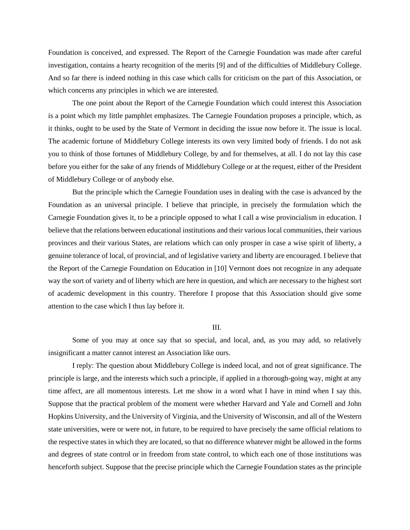Foundation is conceived, and expressed. The Report of the Carnegie Foundation was made after careful investigation, contains a hearty recognition of the merits [9] and of the difficulties of Middlebury College. And so far there is indeed nothing in this case which calls for criticism on the part of this Association, or which concerns any principles in which we are interested.

The one point about the Report of the Carnegie Foundation which could interest this Association is a point which my little pamphlet emphasizes. The Carnegie Foundation proposes a principle, which, as it thinks, ought to be used by the State of Vermont in deciding the issue now before it. The issue is local. The academic fortune of Middlebury College interests its own very limited body of friends. I do not ask you to think of those fortunes of Middlebury College, by and for themselves, at all. I do not lay this case before you either for the sake of any friends of Middlebury College or at the request, either of the President of Middlebury College or of anybody else.

But the principle which the Carnegie Foundation uses in dealing with the case is advanced by the Foundation as an universal principle. I believe that principle, in precisely the formulation which the Carnegie Foundation gives it, to be a principle opposed to what I call a wise provincialism in education. I believe that the relations between educational institutions and their various local communities, their various provinces and their various States, are relations which can only prosper in case a wise spirit of liberty, a genuine tolerance of local, of provincial, and of legislative variety and liberty are encouraged. I believe that the Report of the Carnegie Foundation on Education in [10] Vermont does not recognize in any adequate way the sort of variety and of liberty which are here in question, and which are necessary to the highest sort of academic development in this country. Therefore I propose that this Association should give some attention to the case which I thus lay before it.

## III.

Some of you may at once say that so special, and local, and, as you may add, so relatively insignificant a matter cannot interest an Association like ours.

I reply: The question about Middlebury College is indeed local, and not of great significance. The principle is large, and the interests which such a principle, if applied in a thorough-going way, might at any time affect, are all momentous interests. Let me show in a word what I have in mind when I say this. Suppose that the practical problem of the moment were whether Harvard and Yale and Cornell and John Hopkins University, and the University of Virginia, and the University of Wisconsin, and all of the Western state universities, were or were not, in future, to be required to have precisely the same official relations to the respective states in which they are located, so that no difference whatever might be allowed in the forms and degrees of state control or in freedom from state control, to which each one of those institutions was henceforth subject. Suppose that the precise principle which the Carnegie Foundation states as the principle